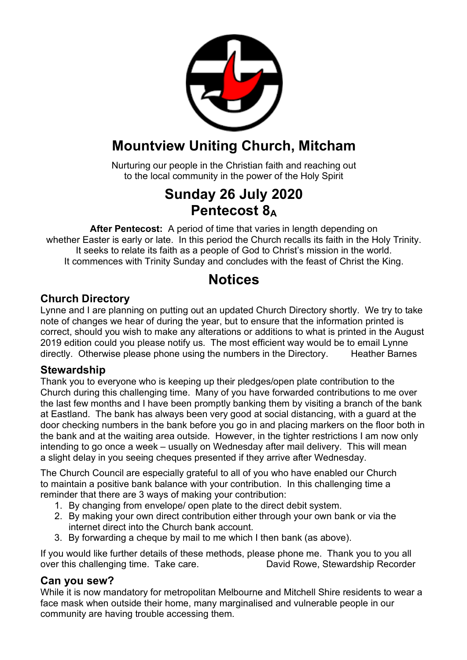

## **Mountview Uniting Church, Mitcham**

Nurturing our people in the Christian faith and reaching out to the local community in the power of the Holy Spirit

## **Sunday 26 July 2020 Pentecost 8A**

**After Pentecost:** A period of time that varies in length depending on whether Easter is early or late. In this period the Church recalls its faith in the Holy Trinity. It seeks to relate its faith as a people of God to Christ's mission in the world. It commences with Trinity Sunday and concludes with the feast of Christ the King.

### **Notices**

### **Church Directory**

Lynne and I are planning on putting out an updated Church Directory shortly. We try to take note of changes we hear of during the year, but to ensure that the information printed is correct, should you wish to make any alterations or additions to what is printed in the August 2019 edition could you please notify us. The most efficient way would be to email Lynne directly. Otherwise please phone using the numbers in the Directory. Heather Barnes

### **Stewardship**

Thank you to everyone who is keeping up their pledges/open plate contribution to the Church during this challenging time. Many of you have forwarded contributions to me over the last few months and I have been promptly banking them by visiting a branch of the bank at Eastland. The bank has always been very good at social distancing, with a guard at the door checking numbers in the bank before you go in and placing markers on the floor both in the bank and at the waiting area outside. However, in the tighter restrictions I am now only intending to go once a week – usually on Wednesday after mail delivery. This will mean a slight delay in you seeing cheques presented if they arrive after Wednesday.

The Church Council are especially grateful to all of you who have enabled our Church to maintain a positive bank balance with your contribution. In this challenging time a reminder that there are 3 ways of making your contribution:

- 1. By changing from envelope/ open plate to the direct debit system.
- 2. By making your own direct contribution either through your own bank or via the internet direct into the Church bank account.
- 3. By forwarding a cheque by mail to me which I then bank (as above).

If you would like further details of these methods, please phone me. Thank you to you all over this challenging time. Take care. David Rowe, Stewardship Recorder

### **Can you sew?**

While it is now mandatory for metropolitan Melbourne and Mitchell Shire residents to wear a face mask when outside their home, many marginalised and vulnerable people in our community are having trouble accessing them.